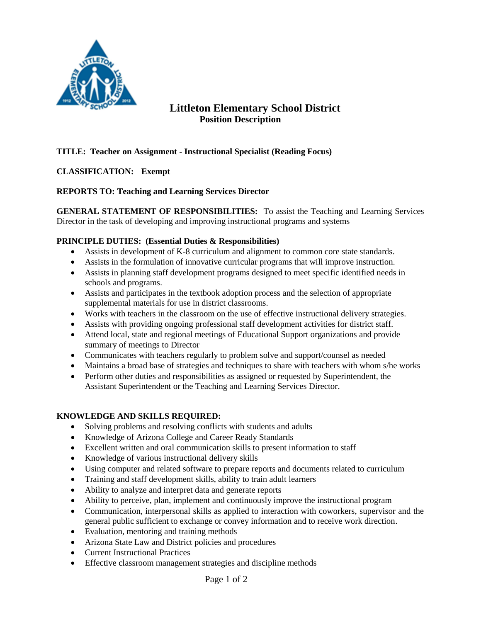

# **Littleton Elementary School District Position Description**

## **TITLE: Teacher on Assignment - Instructional Specialist (Reading Focus)**

### **CLASSIFICATION: Exempt**

### **REPORTS TO: Teaching and Learning Services Director**

**GENERAL STATEMENT OF RESPONSIBILITIES:** To assist the Teaching and Learning Services Director in the task of developing and improving instructional programs and systems

#### **PRINCIPLE DUTIES: (Essential Duties & Responsibilities)**

- Assists in development of K-8 curriculum and alignment to common core state standards.
- Assists in the formulation of innovative curricular programs that will improve instruction.
- Assists in planning staff development programs designed to meet specific identified needs in schools and programs.
- Assists and participates in the textbook adoption process and the selection of appropriate supplemental materials for use in district classrooms.
- Works with teachers in the classroom on the use of effective instructional delivery strategies.
- Assists with providing ongoing professional staff development activities for district staff.
- Attend local, state and regional meetings of Educational Support organizations and provide summary of meetings to Director
- Communicates with teachers regularly to problem solve and support/counsel as needed
- Maintains a broad base of strategies and techniques to share with teachers with whom s/he works
- Perform other duties and responsibilities as assigned or requested by Superintendent, the Assistant Superintendent or the Teaching and Learning Services Director.

#### **KNOWLEDGE AND SKILLS REQUIRED:**

- Solving problems and resolving conflicts with students and adults
- Knowledge of Arizona College and Career Ready Standards
- Excellent written and oral communication skills to present information to staff
- Knowledge of various instructional delivery skills
- Using computer and related software to prepare reports and documents related to curriculum
- Training and staff development skills, ability to train adult learners
- Ability to analyze and interpret data and generate reports
- Ability to perceive, plan, implement and continuously improve the instructional program
- Communication, interpersonal skills as applied to interaction with coworkers, supervisor and the general public sufficient to exchange or convey information and to receive work direction.
- Evaluation, mentoring and training methods
- Arizona State Law and District policies and procedures
- Current Instructional Practices
- Effective classroom management strategies and discipline methods